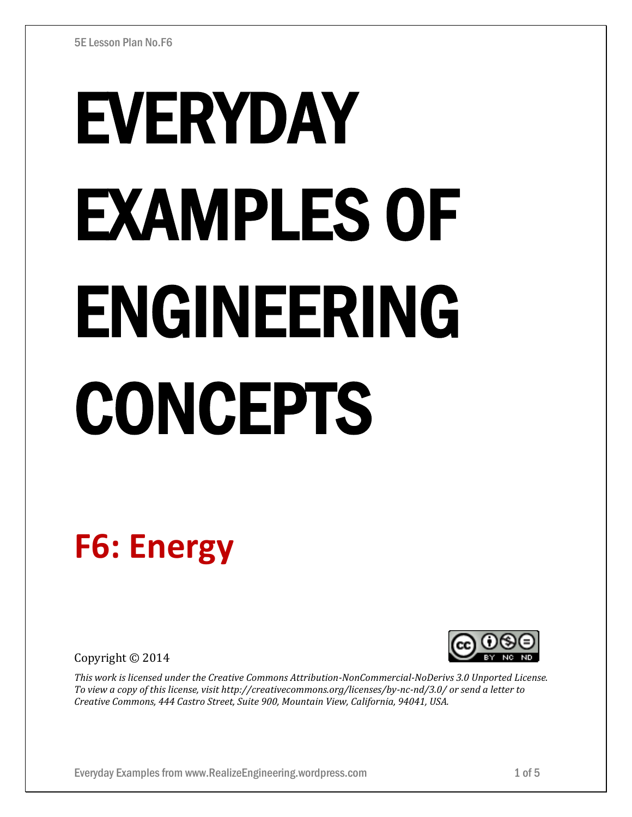# EVERYDAY EXAMPLES OF ENGINEERING CONCEPTS

# **F6: Energy**

Copyright © 2014



*This work is licensed under the Creative Commons Attribution-NonCommercial-NoDerivs 3.0 Unported License. To view a copy of this license, visit http://creativecommons.org/licenses/by-nc-nd/3.0/ or send a letter to Creative Commons, 444 Castro Street, Suite 900, Mountain View, California, 94041, USA.*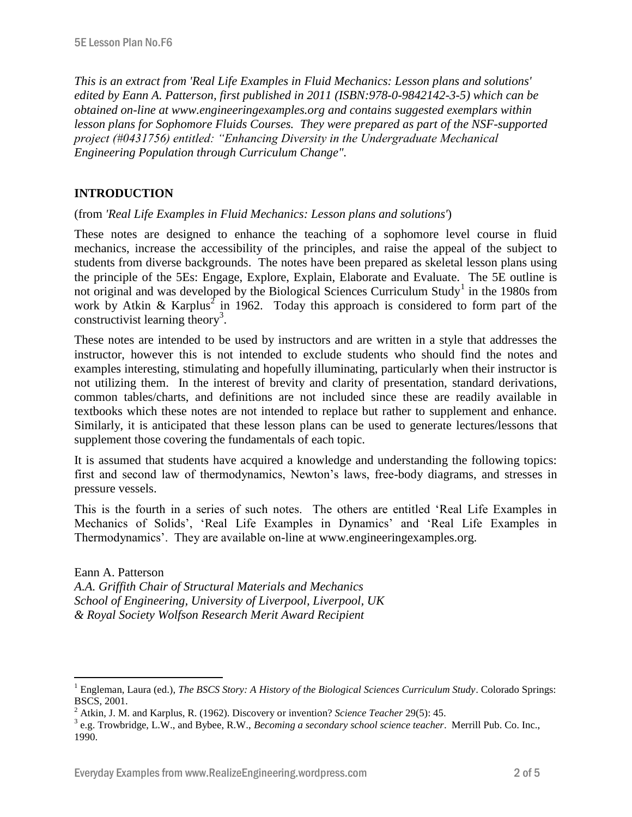*This is an extract from 'Real Life Examples in Fluid Mechanics: Lesson plans and solutions' edited by Eann A. Patterson, first published in 2011 (ISBN:978-0-9842142-3-5) which can be obtained on-line at www.engineeringexamples.org and contains suggested exemplars within lesson plans for Sophomore Fluids Courses. They were prepared as part of the NSF-supported project (#0431756) entitled: "Enhancing Diversity in the Undergraduate Mechanical Engineering Population through Curriculum Change".* 

# **INTRODUCTION**

 $\overline{a}$ 

(from *'Real Life Examples in Fluid Mechanics: Lesson plans and solutions'*)

These notes are designed to enhance the teaching of a sophomore level course in fluid mechanics, increase the accessibility of the principles, and raise the appeal of the subject to students from diverse backgrounds. The notes have been prepared as skeletal lesson plans using the principle of the 5Es: Engage, Explore, Explain, Elaborate and Evaluate. The 5E outline is not original and was developed by the Biological Sciences Curriculum Study<sup>1</sup> in the 1980s from work by Atkin & Karplus<sup>2</sup> in 1962. Today this approach is considered to form part of the constructivist learning theory<sup>3</sup>.

These notes are intended to be used by instructors and are written in a style that addresses the instructor, however this is not intended to exclude students who should find the notes and examples interesting, stimulating and hopefully illuminating, particularly when their instructor is not utilizing them. In the interest of brevity and clarity of presentation, standard derivations, common tables/charts, and definitions are not included since these are readily available in textbooks which these notes are not intended to replace but rather to supplement and enhance. Similarly, it is anticipated that these lesson plans can be used to generate lectures/lessons that supplement those covering the fundamentals of each topic.

It is assumed that students have acquired a knowledge and understanding the following topics: first and second law of thermodynamics, Newton's laws, free-body diagrams, and stresses in pressure vessels.

This is the fourth in a series of such notes. The others are entitled 'Real Life Examples in Mechanics of Solids', 'Real Life Examples in Dynamics' and 'Real Life Examples in Thermodynamics'. They are available on-line at www.engineeringexamples.org.

Eann A. Patterson *A.A. Griffith Chair of Structural Materials and Mechanics School of Engineering, University of Liverpool, Liverpool, UK & Royal Society Wolfson Research Merit Award Recipient*

<sup>1</sup> Engleman, Laura (ed.), *The BSCS Story: A History of the Biological Sciences Curriculum Study*. Colorado Springs: BSCS, 2001.

<sup>2</sup> Atkin, J. M. and Karplus, R. (1962). Discovery or invention? *Science Teacher* 29(5): 45.

<sup>3</sup> e.g. Trowbridge, L.W., and Bybee, R.W., *Becoming a secondary school science teacher*. Merrill Pub. Co. Inc., 1990.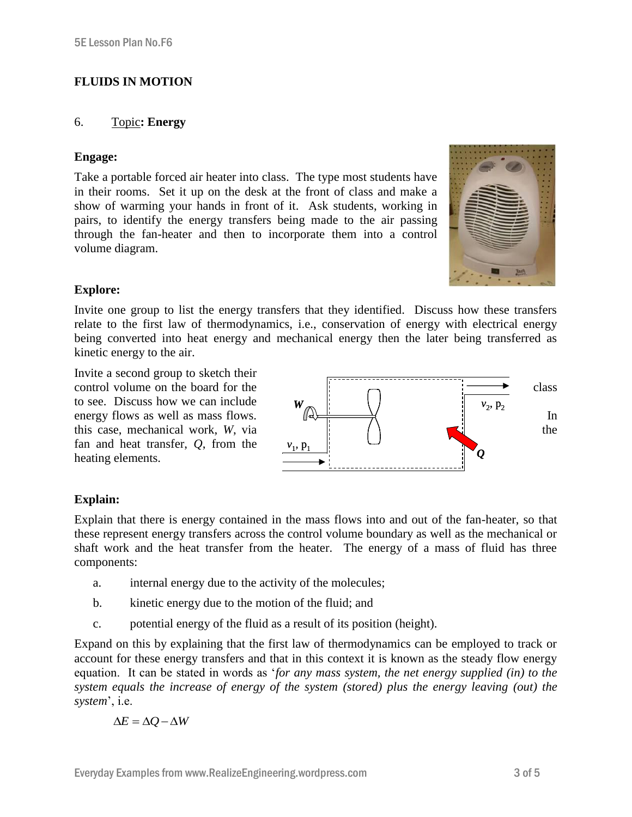# **FLUIDS IN MOTION**

# 6. Topic**: Energy**

## **Engage:**

Take a portable forced air heater into class. The type most students have in their rooms. Set it up on the desk at the front of class and make a show of warming your hands in front of it. Ask students, working in pairs, to identify the energy transfers being made to the air passing through the fan-heater and then to incorporate them into a control volume diagram.



# **Explore:**

Invite one group to list the energy transfers that they identified. Discuss how these transfers relate to the first law of thermodynamics, i.e., conservation of energy with electrical energy being converted into heat energy and mechanical energy then the later being transferred as kinetic energy to the air.

Invite a second group to sketch their to see. Discuss how we can include fan and heat transfer, *Q*, from the heating elements.



# **Explain:**

Explain that there is energy contained in the mass flows into and out of the fan-heater, so that these represent energy transfers across the control volume boundary as well as the mechanical or shaft work and the heat transfer from the heater. The energy of a mass of fluid has three components:

- a. internal energy due to the activity of the molecules;
- b. kinetic energy due to the motion of the fluid; and
- c. potential energy of the fluid as a result of its position (height).

Expand on this by explaining that the first law of thermodynamics can be employed to track or account for these energy transfers and that in this context it is known as the steady flow energy equation. It can be stated in words as '*for any mass system, the net energy supplied (in) to the system equals the increase of energy of the system (stored) plus the energy leaving (out) the system*', i.e.

$$
\Delta E = \Delta Q - \Delta W
$$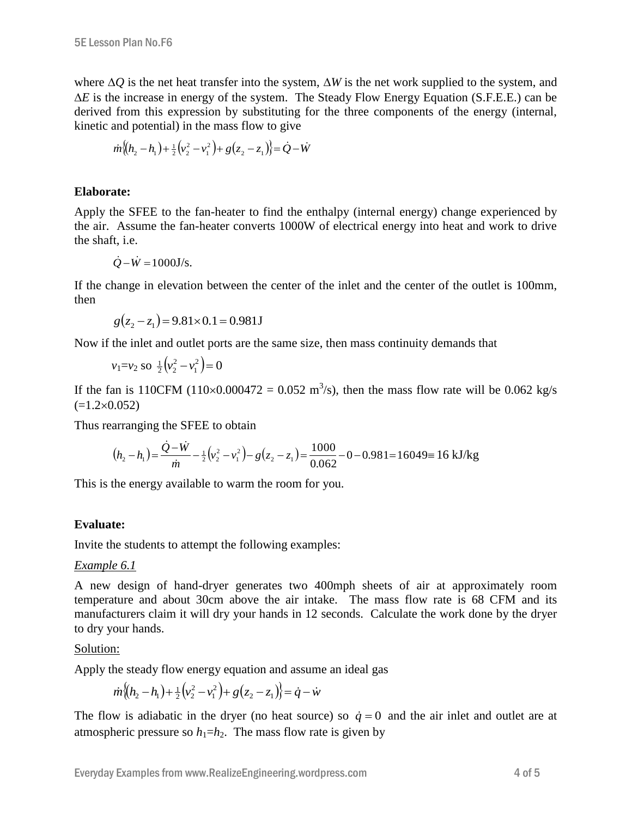where  $\Delta Q$  is the net heat transfer into the system,  $\Delta W$  is the net work supplied to the system, and  $\Delta E$  is the increase in energy of the system. The Steady Flow Energy Equation (S.F.E.E.) can be derived from this expression by substituting for the three components of the energy (internal, kinetic and potential) in the mass flow to give

$$
m\big\{(h_2-h_1)+\tfrac{1}{2}\big(v_2^2-v_1^2\big)+g(z_2-z_1)\big\}=\dot{Q}-\dot{W}
$$

### **Elaborate:**

Apply the SFEE to the fan-heater to find the enthalpy (internal energy) change experienced by the air. Assume the fan-heater converts 1000W of electrical energy into heat and work to drive the shaft, i.e.

$$
\dot{Q} - \dot{W} = 1000 \text{J/s}.
$$

If the change in elevation between the center of the inlet and the center of the outlet is 100mm, then

$$
g(z_2 - z_1) = 9.81 \times 0.1 = 0.981 \text{J}
$$

Now if the inlet and outlet ports are the same size, then mass continuity demands that

 $v_1 = v_2$  so  $\frac{1}{2} (v_2^2 - v_1^2) = 0$ 1 2  $\frac{1}{2}(v_2^2 - v_1^2) = 0$ 

If the fan is 110CFM (110×0.000472 = 0.052 m<sup>3</sup>/s), then the mass flow rate will be 0.062 kg/s  $(=1.2\times0.052)$ 

Thus rearranging the SFEE to obtain

$$
(h_2 - h_1) = \frac{\dot{Q} - \dot{W}}{\dot{m}} - \frac{1}{2} \left(v_2^2 - v_1^2\right) - g\left(z_2 - z_1\right) = \frac{1000}{0.062} - 0 - 0.981 = 16049 = 16 \text{ kJ/kg}
$$

This is the energy available to warm the room for you.

#### **Evaluate:**

Invite the students to attempt the following examples:

#### *Example 6.1*

A new design of hand-dryer generates two 400mph sheets of air at approximately room temperature and about 30cm above the air intake. The mass flow rate is 68 CFM and its manufacturers claim it will dry your hands in 12 seconds. Calculate the work done by the dryer to dry your hands.

#### Solution:

Apply the steady flow energy equation and assume an ideal gas

$$
m\{(h_2 - h_1) + \frac{1}{2}(v_2^2 - v_1^2) + g(z_2 - z_1)\} = \dot{q} - \dot{w}
$$

The flow is adiabatic in the dryer (no heat source) so  $\dot{q} = 0$  and the air inlet and outlet are at atmospheric pressure so  $h_1=h_2$ . The mass flow rate is given by